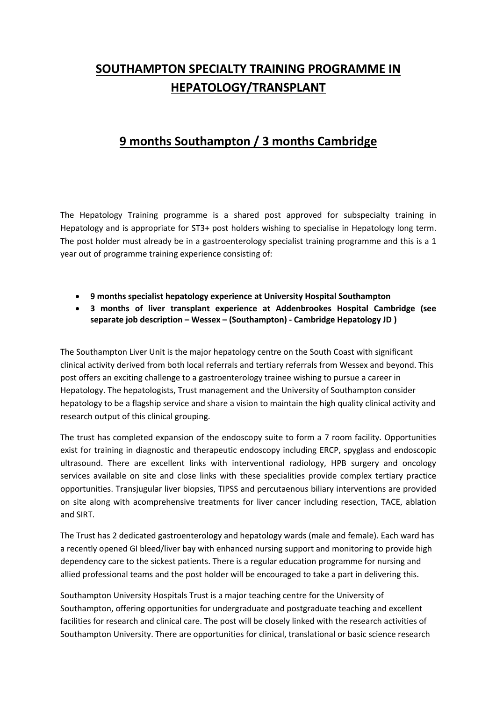# **SOUTHAMPTON SPECIALTY TRAINING PROGRAMME IN HEPATOLOGY/TRANSPLANT**

## **9 months Southampton / 3 months Cambridge**

The Hepatology Training programme is a shared post approved for subspecialty training in Hepatology and is appropriate for ST3+ post holders wishing to specialise in Hepatology long term. The post holder must already be in a gastroenterology specialist training programme and this is a 1 year out of programme training experience consisting of:

- **9 months specialist hepatology experience at University Hospital Southampton**
- **3 months of liver transplant experience at Addenbrookes Hospital Cambridge (see separate job description – Wessex – (Southampton) - Cambridge Hepatology JD )**

The Southampton Liver Unit is the major hepatology centre on the South Coast with significant clinical activity derived from both local referrals and tertiary referrals from Wessex and beyond. This post offers an exciting challenge to a gastroenterology trainee wishing to pursue a career in Hepatology. The hepatologists, Trust management and the University of Southampton consider hepatology to be a flagship service and share a vision to maintain the high quality clinical activity and research output of this clinical grouping.

The trust has completed expansion of the endoscopy suite to form a 7 room facility. Opportunities exist for training in diagnostic and therapeutic endoscopy including ERCP, spyglass and endoscopic ultrasound. There are excellent links with interventional radiology, HPB surgery and oncology services available on site and close links with these specialities provide complex tertiary practice opportunities. Transjugular liver biopsies, TIPSS and percutaenous biliary interventions are provided on site along with acomprehensive treatments for liver cancer including resection, TACE, ablation and SIRT.

The Trust has 2 dedicated gastroenterology and hepatology wards (male and female). Each ward has a recently opened GI bleed/liver bay with enhanced nursing support and monitoring to provide high dependency care to the sickest patients. There is a regular education programme for nursing and allied professional teams and the post holder will be encouraged to take a part in delivering this.

Southampton University Hospitals Trust is a major teaching centre for the University of Southampton, offering opportunities for undergraduate and postgraduate teaching and excellent facilities for research and clinical care. The post will be closely linked with the research activities of Southampton University. There are opportunities for clinical, translational or basic science research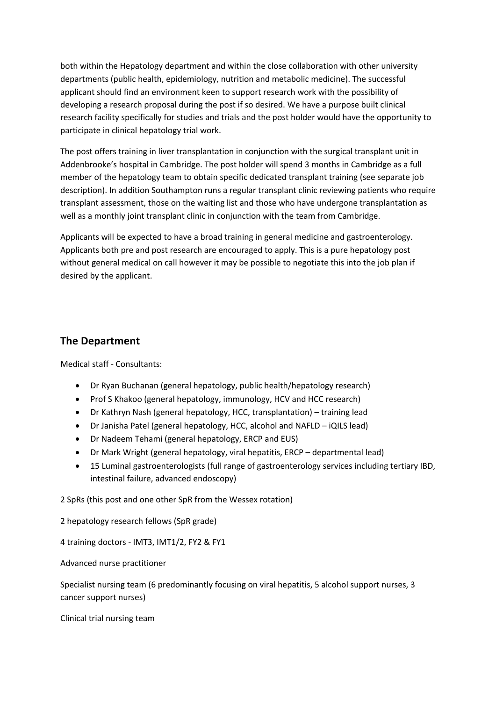both within the Hepatology department and within the close collaboration with other university departments (public health, epidemiology, nutrition and metabolic medicine). The successful applicant should find an environment keen to support research work with the possibility of developing a research proposal during the post if so desired. We have a purpose built clinical research facility specifically for studies and trials and the post holder would have the opportunity to participate in clinical hepatology trial work.

The post offers training in liver transplantation in conjunction with the surgical transplant unit in Addenbrooke's hospital in Cambridge. The post holder will spend 3 months in Cambridge as a full member of the hepatology team to obtain specific dedicated transplant training (see separate job description). In addition Southampton runs a regular transplant clinic reviewing patients who require transplant assessment, those on the waiting list and those who have undergone transplantation as well as a monthly joint transplant clinic in conjunction with the team from Cambridge.

Applicants will be expected to have a broad training in general medicine and gastroenterology. Applicants both pre and post research are encouraged to apply. This is a pure hepatology post without general medical on call however it may be possible to negotiate this into the job plan if desired by the applicant.

### **The Department**

Medical staff - Consultants:

- Dr Ryan Buchanan (general hepatology, public health/hepatology research)
- Prof S Khakoo (general hepatology, immunology, HCV and HCC research)
- Dr Kathryn Nash (general hepatology, HCC, transplantation) training lead
- Dr Janisha Patel (general hepatology, HCC, alcohol and NAFLD iQILS lead)
- Dr Nadeem Tehami (general hepatology, ERCP and EUS)
- Dr Mark Wright (general hepatology, viral hepatitis, ERCP departmental lead)
- 15 Luminal gastroenterologists (full range of gastroenterology services including tertiary IBD, intestinal failure, advanced endoscopy)

2 SpRs (this post and one other SpR from the Wessex rotation)

2 hepatology research fellows (SpR grade)

4 training doctors - IMT3, IMT1/2, FY2 & FY1

Advanced nurse practitioner

Specialist nursing team (6 predominantly focusing on viral hepatitis, 5 alcohol support nurses, 3 cancer support nurses)

Clinical trial nursing team